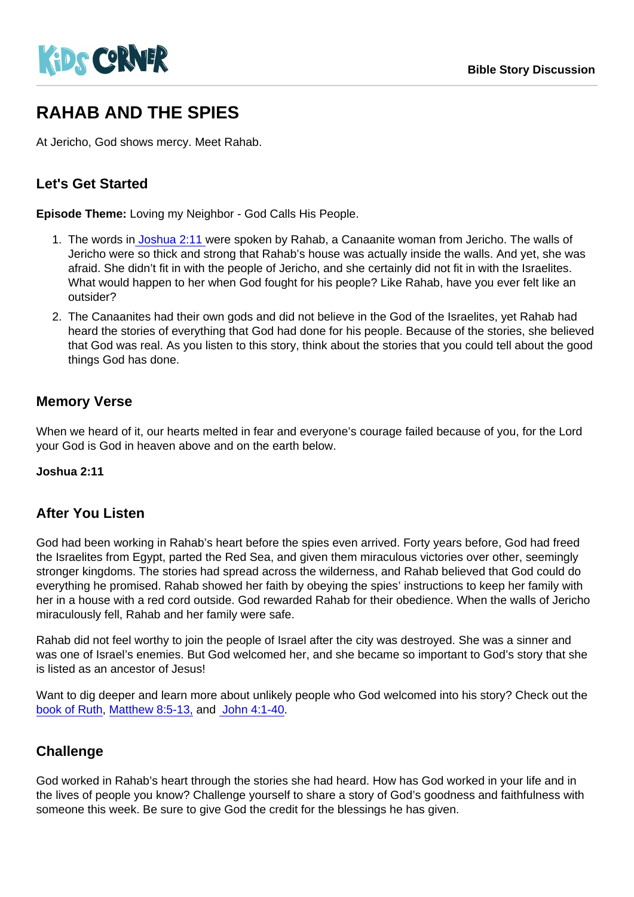# RAHAB AND THE SPIES

At Jericho, God shows mercy. Meet Rahab.

### Let's Get Started

Episode Theme: Loving my Neighbor - God Calls His People.

- 1. The words in [Joshua 2:11](https://www.biblegateway.com/passage/?search=+Joshua+2:11&version=NIV) were spoken by Rahab, a Canaanite woman from Jericho. The walls of Jericho were so thick and strong that Rahab's house was actually inside the walls. And yet, she was afraid. She didn't fit in with the people of Jericho, and she certainly did not fit in with the Israelites. What would happen to her when God fought for his people? Like Rahab, have you ever felt like an outsider?
- 2. The Canaanites had their own gods and did not believe in the God of the Israelites, yet Rahab had heard the stories of everything that God had done for his people. Because of the stories, she believed that God was real. As you listen to this story, think about the stories that you could tell about the good things God has done.

#### Memory Verse

When we heard of it, our hearts melted in fear and everyone's courage failed because of you, for the Lord your God is God in heaven above and on the earth below.

Joshua 2:11

#### After You Listen

God had been working in Rahab's heart before the spies even arrived. Forty years before, God had freed the Israelites from Egypt, parted the Red Sea, and given them miraculous victories over other, seemingly stronger kingdoms. The stories had spread across the wilderness, and Rahab believed that God could do everything he promised. Rahab showed her faith by obeying the spies' instructions to keep her family with her in a house with a red cord outside. God rewarded Rahab for their obedience. When the walls of Jericho miraculously fell, Rahab and her family were safe.

Rahab did not feel worthy to join the people of Israel after the city was destroyed. She was a sinner and was one of Israel's enemies. But God welcomed her, and she became so important to God's story that she is listed as an ancestor of Jesus!

Want to dig deeper and learn more about unlikely people who God welcomed into his story? Check out the [book of Ruth](https://www.biblegateway.com/quicksearch/?quicksearch=Ruth&qs_version=NIV), [Matthew 8:5-13,](https://www.biblegateway.com/passage/?search=john+4:1-40&version=NIV) and [John 4:1-40.](https://www.biblegateway.com/passage/?search=john+4:1-40&version=NIV)

#### **Challenge**

God worked in Rahab's heart through the stories she had heard. How has God worked in your life and in the lives of people you know? Challenge yourself to share a story of God's goodness and faithfulness with someone this week. Be sure to give God the credit for the blessings he has given.